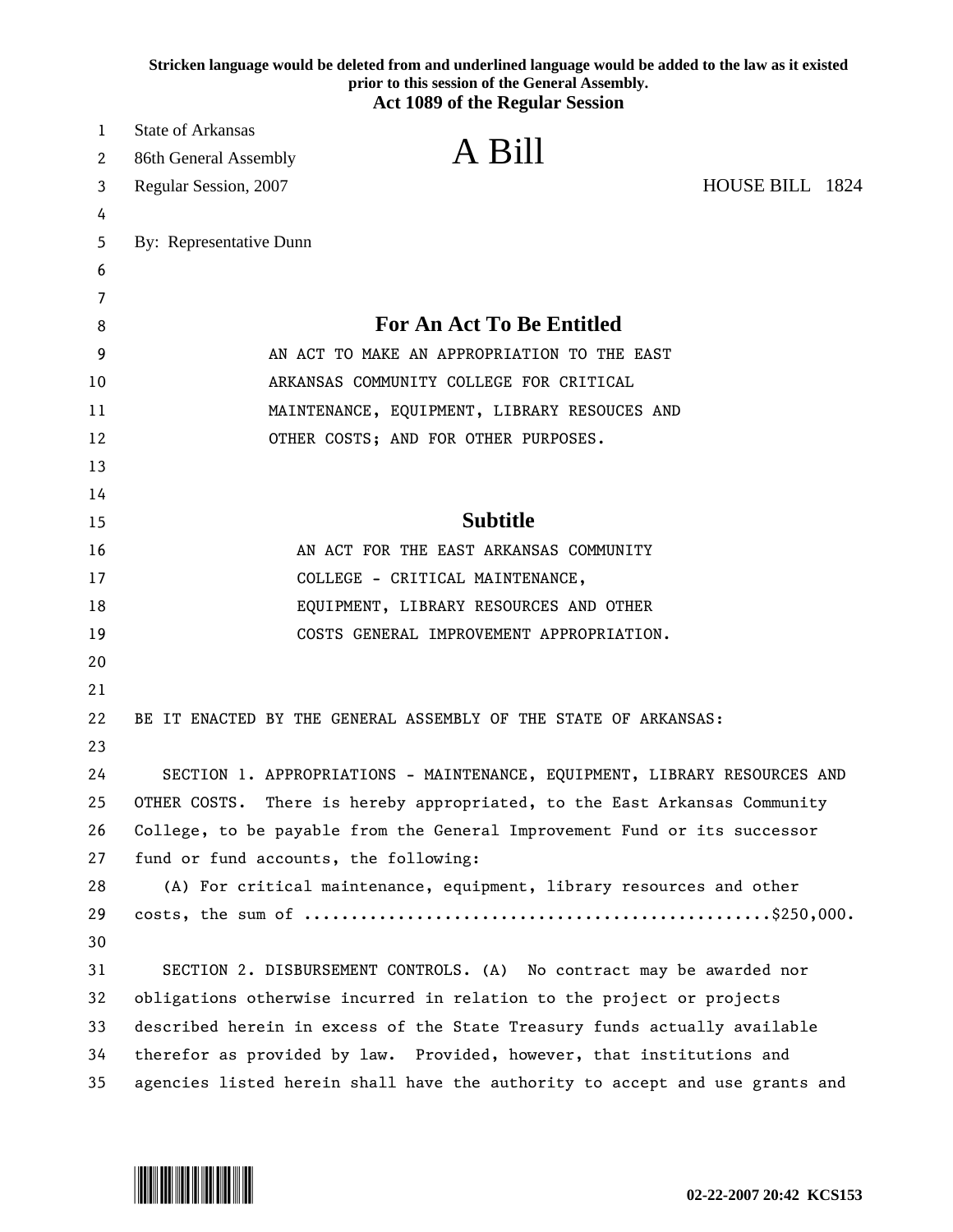|    | Stricken language would be deleted from and underlined language would be added to the law as it existed<br>prior to this session of the General Assembly. |
|----|-----------------------------------------------------------------------------------------------------------------------------------------------------------|
|    | <b>Act 1089 of the Regular Session</b>                                                                                                                    |
| 1  | <b>State of Arkansas</b>                                                                                                                                  |
| 2  | A Bill<br>86th General Assembly                                                                                                                           |
| 3  | HOUSE BILL 1824<br>Regular Session, 2007                                                                                                                  |
| 4  |                                                                                                                                                           |
| 5  | By: Representative Dunn                                                                                                                                   |
| 6  |                                                                                                                                                           |
| 7  |                                                                                                                                                           |
| 8  | <b>For An Act To Be Entitled</b>                                                                                                                          |
| 9  | AN ACT TO MAKE AN APPROPRIATION TO THE EAST                                                                                                               |
| 10 | ARKANSAS COMMUNITY COLLEGE FOR CRITICAL                                                                                                                   |
| 11 | MAINTENANCE, EQUIPMENT, LIBRARY RESOUCES AND                                                                                                              |
| 12 | OTHER COSTS; AND FOR OTHER PURPOSES.                                                                                                                      |
| 13 |                                                                                                                                                           |
| 14 |                                                                                                                                                           |
| 15 | <b>Subtitle</b>                                                                                                                                           |
| 16 | AN ACT FOR THE EAST ARKANSAS COMMUNITY                                                                                                                    |
| 17 | COLLEGE - CRITICAL MAINTENANCE,                                                                                                                           |
| 18 | EQUIPMENT, LIBRARY RESOURCES AND OTHER                                                                                                                    |
| 19 | COSTS GENERAL IMPROVEMENT APPROPRIATION.                                                                                                                  |
| 20 |                                                                                                                                                           |
| 21 |                                                                                                                                                           |
| 22 | BE IT ENACTED BY THE GENERAL ASSEMBLY OF THE STATE OF ARKANSAS:                                                                                           |
| 23 |                                                                                                                                                           |
| 24 | SECTION 1. APPROPRIATIONS - MAINTENANCE, EQUIPMENT, LIBRARY RESOURCES AND                                                                                 |
| 25 | OTHER COSTS. There is hereby appropriated, to the East Arkansas Community                                                                                 |
| 26 | College, to be payable from the General Improvement Fund or its successor                                                                                 |
| 27 | fund or fund accounts, the following:                                                                                                                     |
| 28 | (A) For critical maintenance, equipment, library resources and other                                                                                      |
| 29 |                                                                                                                                                           |
| 30 |                                                                                                                                                           |
| 31 | SECTION 2. DISBURSEMENT CONTROLS. (A) No contract may be awarded nor                                                                                      |
| 32 | obligations otherwise incurred in relation to the project or projects                                                                                     |
| 33 | described herein in excess of the State Treasury funds actually available                                                                                 |
| 34 | therefor as provided by law. Provided, however, that institutions and                                                                                     |
| 35 | agencies listed herein shall have the authority to accept and use grants and                                                                              |